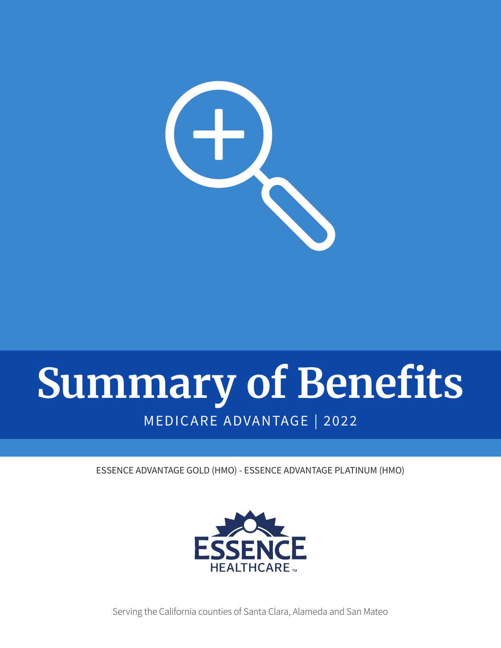

# **Summary of Benefits** MEDICARE ADVANTAGE | 2022

ESSENCE ADVANTAGE GOLD (HMO) - ESSENCE ADVANTAGE PLATINUM (HMO)



Serving the California counties of Santa Clara, Alameda and San Mateo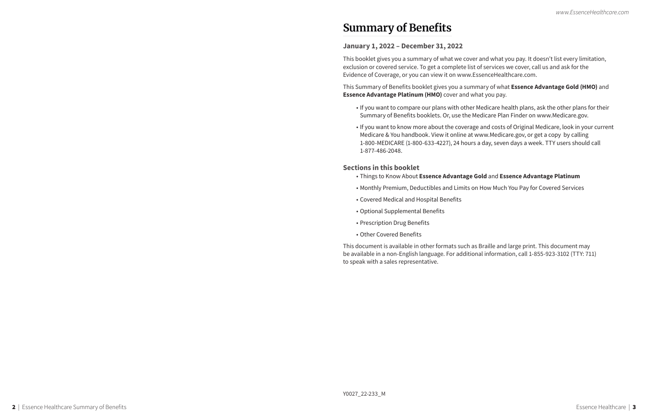## **Summary of Benefits**

## **January 1, 2022 – December 31, 2022**

This booklet gives you a summary of what we cover and what you pay. It doesn't list every limitation, exclusion or covered service. To get a complete list of services we cover, call us and ask for the Evidence of Coverage, or you can view it on www.EssenceHealthcare.com.

This Summary of Benefits booklet gives you a summary of what **Essence Advantage Gold (HMO)** and **Essence Advantage Platinum (HMO)** cover and what you pay.

• If you want to compare our plans with other Medicare health plans, ask the other plans for their

- Summary of Benefits booklets. Or, use the Medicare Plan Finder on www.Medicare.gov.
- Medicare & You handbook. View it online at www.Medicare.gov, or get a copy by calling 1-877-486-2048.

• If you want to know more about the coverage and costs of Original Medicare, look in your current 1-800-MEDICARE (1-800-633-4227), 24 hours a day, seven days a week. TTY users should call

## **Sections in this booklet**

- Things to Know About **Essence Advantage Gold** and **Essence Advantage Platinum**
- Monthly Premium, Deductibles and Limits on How Much You Pay for Covered Services
- Covered Medical and Hospital Benefits
- Optional Supplemental Benefits
- Prescription Drug Benefits
- Other Covered Benefits

This document is available in other formats such as Braille and large print. This document may be available in a non-English language. For additional information, call 1-855-923-3102 (TTY: 711) to speak with a sales representative.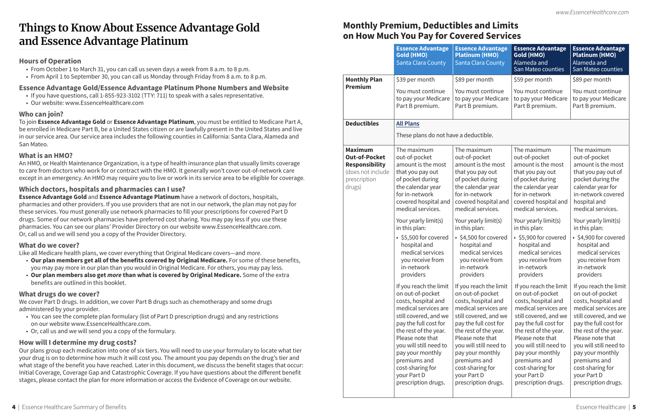|                                                                                                                | <b>Essence Advantage</b><br><b>Gold (HMO)</b><br><b>Santa Clara County</b>                                                                                                                                                                                                                                                                                                                                                                                            | <b>Essence Advantage</b><br><b>Platinum (HMO)</b><br><b>Santa Clara County</b>                                                                                                                                                                                                                                                                                                                                                                                        | <b>Essence Advantage</b><br>Gold (HMO)<br>Alameda and<br>San Mateo counties                                                                                                                                                                                                                                                                                                                                                                                           | <b>Essence Advantage</b><br><b>Platinum (HMO)</b><br>Alameda and<br>San Mateo counties                                                                                                                                                                                                                                                                                                                                                                                |  |  |  |  |  |
|----------------------------------------------------------------------------------------------------------------|-----------------------------------------------------------------------------------------------------------------------------------------------------------------------------------------------------------------------------------------------------------------------------------------------------------------------------------------------------------------------------------------------------------------------------------------------------------------------|-----------------------------------------------------------------------------------------------------------------------------------------------------------------------------------------------------------------------------------------------------------------------------------------------------------------------------------------------------------------------------------------------------------------------------------------------------------------------|-----------------------------------------------------------------------------------------------------------------------------------------------------------------------------------------------------------------------------------------------------------------------------------------------------------------------------------------------------------------------------------------------------------------------------------------------------------------------|-----------------------------------------------------------------------------------------------------------------------------------------------------------------------------------------------------------------------------------------------------------------------------------------------------------------------------------------------------------------------------------------------------------------------------------------------------------------------|--|--|--|--|--|
| <b>Monthly Plan</b>                                                                                            | \$39 per month                                                                                                                                                                                                                                                                                                                                                                                                                                                        | \$89 per month                                                                                                                                                                                                                                                                                                                                                                                                                                                        | \$59 per month                                                                                                                                                                                                                                                                                                                                                                                                                                                        | \$89 per month                                                                                                                                                                                                                                                                                                                                                                                                                                                        |  |  |  |  |  |
| <b>Premium</b>                                                                                                 | You must continue<br>to pay your Medicare<br>Part B premium.                                                                                                                                                                                                                                                                                                                                                                                                          | You must continue<br>to pay your Medicare<br>Part B premium.                                                                                                                                                                                                                                                                                                                                                                                                          | You must continue<br>to pay your Medicare<br>Part B premium.                                                                                                                                                                                                                                                                                                                                                                                                          | You must continue<br>to pay your Medicare<br>Part B premium.                                                                                                                                                                                                                                                                                                                                                                                                          |  |  |  |  |  |
| <b>Deductibles</b>                                                                                             | <b>All Plans</b>                                                                                                                                                                                                                                                                                                                                                                                                                                                      |                                                                                                                                                                                                                                                                                                                                                                                                                                                                       |                                                                                                                                                                                                                                                                                                                                                                                                                                                                       |                                                                                                                                                                                                                                                                                                                                                                                                                                                                       |  |  |  |  |  |
|                                                                                                                | These plans do not have a deductible.                                                                                                                                                                                                                                                                                                                                                                                                                                 |                                                                                                                                                                                                                                                                                                                                                                                                                                                                       |                                                                                                                                                                                                                                                                                                                                                                                                                                                                       |                                                                                                                                                                                                                                                                                                                                                                                                                                                                       |  |  |  |  |  |
| <b>Maximum</b><br><b>Out-of-Pocket</b><br><b>Responsibility</b><br>(does not include<br>prescription<br>drugs) | The maximum<br>out-of-pocket<br>amount is the most<br>that you pay out<br>of pocket during<br>the calendar year<br>for in-network<br>covered hospital and<br>medical services.                                                                                                                                                                                                                                                                                        | The maximum<br>out-of-pocket<br>amount is the most<br>that you pay out<br>of pocket during<br>the calendar year<br>for in-network<br>covered hospital and<br>medical services.                                                                                                                                                                                                                                                                                        | The maximum<br>out-of-pocket<br>amount is the most<br>that you pay out<br>of pocket during<br>the calendar year<br>for in-network<br>covered hospital and<br>medical services.                                                                                                                                                                                                                                                                                        | The maximum<br>out-of-pocket<br>amount is the most<br>that you pay out of<br>pocket during the<br>calendar year for<br>in-network covered<br>hospital and<br>medical services.                                                                                                                                                                                                                                                                                        |  |  |  |  |  |
|                                                                                                                | Your yearly limit(s)<br>in this plan:<br>• \$5,500 for covered<br>hospital and<br>medical services<br>you receive from<br>in-network<br>providers<br>If you reach the limit<br>on out-of-pocket<br>costs, hospital and<br>medical services are<br>still covered, and we<br>pay the full cost for<br>the rest of the year.<br>Please note that<br>you will still need to<br>pay your monthly<br>premiums and<br>cost-sharing for<br>your Part D<br>prescription drugs. | Your yearly limit(s)<br>in this plan:<br>• \$4,500 for covered<br>hospital and<br>medical services<br>you receive from<br>in-network<br>providers<br>If you reach the limit<br>on out-of-pocket<br>costs, hospital and<br>medical services are<br>still covered, and we<br>pay the full cost for<br>the rest of the year.<br>Please note that<br>you will still need to<br>pay your monthly<br>premiums and<br>cost-sharing for<br>your Part D<br>prescription drugs. | Your yearly limit(s)<br>in this plan:<br>• \$5,900 for covered<br>hospital and<br>medical services<br>you receive from<br>in-network<br>providers<br>If you reach the limit<br>on out-of-pocket<br>costs, hospital and<br>medical services are<br>still covered, and we<br>pay the full cost for<br>the rest of the year.<br>Please note that<br>you will still need to<br>pay your monthly<br>premiums and<br>cost-sharing for<br>your Part D<br>prescription drugs. | Your yearly limit(s)<br>in this plan:<br>• \$4,900 for covered<br>hospital and<br>medical services<br>you receive from<br>in-network<br>providers<br>If you reach the limit<br>on out-of-pocket<br>costs, hospital and<br>medical services are<br>still covered, and we<br>pay the full cost for<br>the rest of the year.<br>Please note that<br>you will still need to<br>pay your monthly<br>premiums and<br>cost-sharing for<br>your Part D<br>prescription drugs. |  |  |  |  |  |

## **on Hoursellings to Know About Essence Advantage Gold** Monthly Premium, Deductibles and Limits<br>Things to Know About Essence Advantage Gold<br>on How Much You Pay for Covered Services **and Essence Advantage Platinum**

# **Monthly Premium, Deductibles and Limits**

## **Hours of Operation**

- From October 1 to March 31, you can call us seven days a week from 8 a.m. to 8 p.m.
- From April 1 to September 30, you can call us Monday through Friday from 8 a.m. to 8 p.m.

### **Essence Advantage Gold/Essence Advantage Platinum Phone Numbers and Website**

- If you have questions, call 1-855-923-3102 (TTY: 711) to speak with a sales representative.
- Our website: www.EssenceHealthcare.com

### **Who can join?**

To join **Essence Advantage Gold** or **Essence Advantage Platinum**, you must be entitled to Medicare Part A, be enrolled in Medicare Part B, be a United States citizen or are lawfully present in the United States and live in our service area. Our service area includes the following counties in California: Santa Clara, Alameda and San Mateo.

### **What is an HMO?**

An HMO, or Health Maintenance Organization, is a type of health insurance plan that usually limits coverage to care from doctors who work for or contract with the HMO. It generally won't cover out-of-network care except in an emergency. An HMO may require you to live or work in its service area to be eligible for coverage.

## **Which doctors, hospitals and pharmacies can I use?**

**Essence Advantage Gold** and **Essence Advantage Platinum** have a network of doctors, hospitals, pharmacies and other providers. If you use providers that are not in our network, the plan may not pay for these services. You must generally use network pharmacies to fill your prescriptions for covered Part D drugs. Some of our network pharmacies have preferred cost sharing. You may pay less if you use these pharmacies. You can see our plans' Provider Directory on our website www.EssenceHealthcare.com. Or, call us and we will send you a copy of the Provider Directory.

### **What do we cover?**

Like all Medicare health plans, we cover everything that Original Medicare covers—and *more*.

- **Our plan members get all of the benefits covered by Original Medicare.** For some of these benefits, you may pay more in our plan than you would in Original Medicare. For others, you may pay less.
- **Our plan members also get** *more* **than what is covered by Original Medicare.** Some of the extra benefits are outlined in this booklet.

### **What drugs do we cover?**

We cover Part D drugs. In addition, we cover Part B drugs such as chemotherapy and some drugs administered by your provider.

- You can see the complete plan formulary (list of Part D prescription drugs) and any restrictions on our website www.EssenceHealthcare.com.
- Or, call us and we will send you a copy of the formulary.

## **How will I determine my drug costs?**

Our plans group each medication into one of six tiers. You will need to use your formulary to locate what tier your drug is on to determine how much it will cost you. The amount you pay depends on the drug's tier and what stage of the benefit you have reached. Later in this document, we discuss the benefit stages that occur: Initial Coverage, Coverage Gap and Catastrophic Coverage. If you have questions about the different benefit stages, please contact the plan for more information or access the Evidence of Coverage on our website.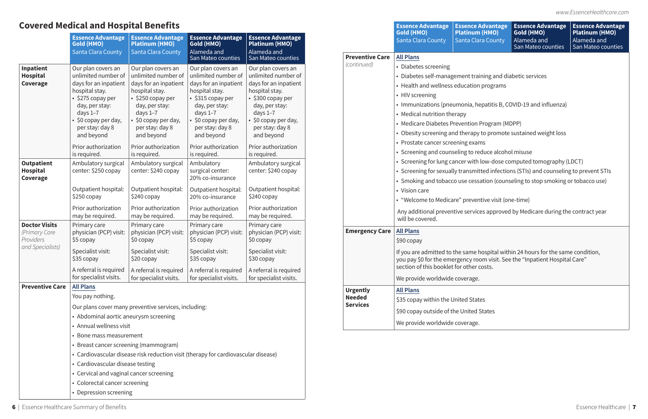|                                                    | <b>Essence Advantage</b><br><b>Gold (HMO)</b><br>Santa Clara County                                                                                                                                      | <b>Essence Advantage</b><br><b>Platinum (HMO)</b><br><b>Santa Clara County</b>                                                                                                                           | <b>Essence Advantage</b><br>Gold (HMO)<br>Alameda and<br>San Mateo counties                                                                                                                              | <b>Essence Advantage</b><br><b>Platinum (HMO)</b><br>Alameda and<br>San Mateo counties                                                                                                                   | <b>Preventive Care</b>           | <b>Gold (HMO)</b><br><b>Santa Clara County</b><br><b>All Plans</b>                                                                                                                                          |
|----------------------------------------------------|----------------------------------------------------------------------------------------------------------------------------------------------------------------------------------------------------------|----------------------------------------------------------------------------------------------------------------------------------------------------------------------------------------------------------|----------------------------------------------------------------------------------------------------------------------------------------------------------------------------------------------------------|----------------------------------------------------------------------------------------------------------------------------------------------------------------------------------------------------------|----------------------------------|-------------------------------------------------------------------------------------------------------------------------------------------------------------------------------------------------------------|
| Inpatient<br><b>Hospital</b><br>Coverage           | Our plan covers an<br>unlimited number of<br>days for an inpatient<br>hospital stay.<br>$\cdot$ \$275 copay per<br>day, per stay:<br>days $1-7$<br>• \$0 copay per day,<br>per stay: day 8<br>and beyond | Our plan covers an<br>unlimited number of<br>days for an inpatient<br>hospital stay.<br>$\cdot$ \$250 copay per<br>day, per stay:<br>days $1-7$<br>• \$0 copay per day,<br>per stay: day 8<br>and beyond | Our plan covers an<br>unlimited number of<br>days for an inpatient<br>hospital stay.<br>$\cdot$ \$315 copay per<br>day, per stay:<br>days $1-7$<br>• \$0 copay per day,<br>per stay: day 8<br>and beyond | Our plan covers an<br>unlimited number of<br>days for an inpatient<br>hospital stay.<br>$\cdot$ \$300 copay per<br>day, per stay:<br>days $1-7$<br>• \$0 copay per day,<br>per stay: day 8<br>and beyond | (continued)                      | • Diabetes screening<br>• Diabetes self-man<br>• Health and wellne<br>• HIV screening<br>• Immunizations (pr<br>• Medical nutrition t<br>• Medicare Diabetes<br>• Obesity screening<br>• Prostate cancer so |
|                                                    | Prior authorization<br>is required.                                                                                                                                                                      | Prior authorization<br>is required.                                                                                                                                                                      | Prior authorization<br>is required.                                                                                                                                                                      | Prior authorization<br>is required.                                                                                                                                                                      |                                  | • Screening and cou                                                                                                                                                                                         |
| <b>Outpatient</b><br>Hospital<br>Coverage          | Ambulatory surgical<br>center: \$250 copay                                                                                                                                                               | Ambulatory surgical<br>center: \$240 copay                                                                                                                                                               | Ambulatory<br>surgical center:<br>20% co-insurance                                                                                                                                                       | Ambulatory surgical<br>center: \$240 copay                                                                                                                                                               |                                  | • Screening for lung<br>• Screening for sexu<br>• Smoking and toba                                                                                                                                          |
|                                                    | Outpatient hospital:<br>\$250 copay                                                                                                                                                                      | Outpatient hospital:<br>\$240 copay                                                                                                                                                                      | Outpatient hospital:<br>20% co-insurance                                                                                                                                                                 | Outpatient hospital:<br>\$240 copay                                                                                                                                                                      |                                  | • Vision care<br>• "Welcome to Medi                                                                                                                                                                         |
|                                                    | Prior authorization<br>may be required.                                                                                                                                                                  | Prior authorization<br>may be required.                                                                                                                                                                  | Prior authorization<br>may be required.                                                                                                                                                                  | Prior authorization<br>may be required.                                                                                                                                                                  |                                  | Any additional prev<br>will be covered.                                                                                                                                                                     |
| <b>Doctor Visits</b><br>(Primary Care<br>Providers | Primary care<br>physician (PCP) visit:<br>\$5 copay                                                                                                                                                      | Primary care<br>physician (PCP) visit:<br>\$0 copay                                                                                                                                                      | Primary care<br>physician (PCP) visit:<br>\$5 copay                                                                                                                                                      | Primary care<br>physician (PCP) visit:<br>\$0 copay                                                                                                                                                      | <b>Emergency Care</b>            | <b>All Plans</b><br>\$90 copay                                                                                                                                                                              |
| and Specialists)                                   | Specialist visit:<br>\$35 copay                                                                                                                                                                          | Specialist visit:<br>\$20 copay                                                                                                                                                                          | Specialist visit:<br>\$35 copay                                                                                                                                                                          | Specialist visit:<br>\$30 copay                                                                                                                                                                          |                                  | If you are admitted<br>you pay \$0 for the er                                                                                                                                                               |
|                                                    | A referral is required<br>for specialist visits.                                                                                                                                                         | A referral is required<br>for specialist visits.                                                                                                                                                         | A referral is required<br>for specialist visits.                                                                                                                                                         | A referral is required<br>for specialist visits.                                                                                                                                                         |                                  | section of this book                                                                                                                                                                                        |
| <b>Preventive Care</b>                             | <b>All Plans</b>                                                                                                                                                                                         |                                                                                                                                                                                                          |                                                                                                                                                                                                          |                                                                                                                                                                                                          |                                  | We provide worldwi                                                                                                                                                                                          |
|                                                    | You pay nothing.                                                                                                                                                                                         |                                                                                                                                                                                                          |                                                                                                                                                                                                          |                                                                                                                                                                                                          | <b>Urgently</b><br><b>Needed</b> | <b>All Plans</b>                                                                                                                                                                                            |
|                                                    |                                                                                                                                                                                                          | Our plans cover many preventive services, including:                                                                                                                                                     |                                                                                                                                                                                                          |                                                                                                                                                                                                          | <b>Services</b>                  | \$35 copay within the                                                                                                                                                                                       |
|                                                    | • Abdominal aortic aneurysm screening                                                                                                                                                                    |                                                                                                                                                                                                          |                                                                                                                                                                                                          |                                                                                                                                                                                                          |                                  | \$90 copay outside o                                                                                                                                                                                        |
|                                                    | • Annual wellness visit                                                                                                                                                                                  |                                                                                                                                                                                                          |                                                                                                                                                                                                          |                                                                                                                                                                                                          |                                  | We provide worldwi                                                                                                                                                                                          |
|                                                    | • Bone mass measurement                                                                                                                                                                                  |                                                                                                                                                                                                          |                                                                                                                                                                                                          |                                                                                                                                                                                                          |                                  |                                                                                                                                                                                                             |
|                                                    | • Breast cancer screening (mammogram)                                                                                                                                                                    |                                                                                                                                                                                                          |                                                                                                                                                                                                          |                                                                                                                                                                                                          |                                  |                                                                                                                                                                                                             |
|                                                    |                                                                                                                                                                                                          | • Cardiovascular disease risk reduction visit (therapy for cardiovascular disease)                                                                                                                       |                                                                                                                                                                                                          |                                                                                                                                                                                                          |                                  |                                                                                                                                                                                                             |
|                                                    | • Cardiovascular disease testing                                                                                                                                                                         |                                                                                                                                                                                                          |                                                                                                                                                                                                          |                                                                                                                                                                                                          |                                  |                                                                                                                                                                                                             |
|                                                    | • Cervical and vaginal cancer screening                                                                                                                                                                  |                                                                                                                                                                                                          |                                                                                                                                                                                                          |                                                                                                                                                                                                          |                                  |                                                                                                                                                                                                             |
|                                                    | • Colorectal cancer screening                                                                                                                                                                            |                                                                                                                                                                                                          |                                                                                                                                                                                                          |                                                                                                                                                                                                          |                                  |                                                                                                                                                                                                             |
|                                                    | • Depression screening                                                                                                                                                                                   |                                                                                                                                                                                                          |                                                                                                                                                                                                          |                                                                                                                                                                                                          |                                  |                                                                                                                                                                                                             |

6 | Essence Healthcare Summary of Benefits Essence Healthcare | 7

**Essence Advantage** 

### **Essence Advantage Platinum (HMO)**  Santa Clara County

**Essence Advantage Gold (HMO)**  Alameda and San Mateo counties

**Essence Advantage Platinum (HMO)**  Alameda and San Mateo counties

• Diabetes screening

• Medical nutrition therapy

- Diabetes self-management training and diabetic services • Health and wellness education programs
- Immunizations (pneumonia, hepatitis B, COVID-19 and influenza)
- Medicare Diabetes Prevention Program (MDPP)
- Obesity screening and therapy to promote sustained weight loss
- Prostate cancer screening exams
- Screening and counseling to reduce alcohol misuse
- Screening for lung cancer with low-dose computed tomography (LDCT)
- Screening for sexually transmitted infections (STIs) and counseling to prevent STIs
- Smoking and tobacco use cessation (counseling to stop smoking or tobacco use)
- "Welcome to Medicare" preventive visit (one-time)
- Any additional preventive services approved by Medicare during the contract year

If you are admitted to the same hospital within 24 hours for the same condition, you pay \$0 for the emergency room visit. See the "Inpatient Hospital Care" section of this booklet for other costs.

We provide worldwide coverage.

\$35 copay within the United States

\$90 copay outside of the United States

We provide worldwide coverage.

## **Covered Medical and Hospital Benefits**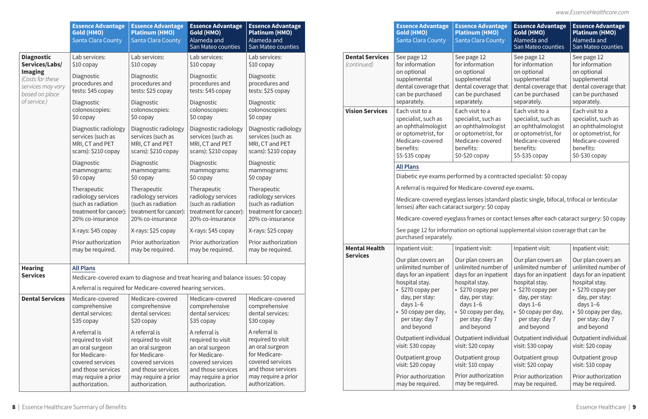|                                                                                           | <b>Essence Advantage</b><br><b>Gold (HMO)</b><br>Santa Clara County                                                                                                                                                    | <b>Essence Advantage</b><br><b>Platinum (HMO)</b><br>Santa Clara County                | <b>Essence Advantage</b><br>Gold (HMO)<br>Alameda and<br>San Mateo counties            | <b>Essence Advantage</b><br><b>Platinum (HMO)</b><br>Alameda and<br>San Mateo counties |                  |                                                                                                                           | <b>Essence Advantage</b><br><b>Gold (HMO)</b><br><b>Santa Clara County</b>                                                                                                                                                                | <b>Essence Advantage</b><br><b>Platinum (HMO)</b><br>Santa Clara County                      | <b>Essence Advantage</b><br>Gold (HMO)<br>Alameda and<br>San Mateo counties                   | <b>Essence Advantage</b><br><b>Platinum (HMO)</b><br>Alameda and<br>San Mateo counties       |                                                                                             |                                                                                     |
|-------------------------------------------------------------------------------------------|------------------------------------------------------------------------------------------------------------------------------------------------------------------------------------------------------------------------|----------------------------------------------------------------------------------------|----------------------------------------------------------------------------------------|----------------------------------------------------------------------------------------|------------------|---------------------------------------------------------------------------------------------------------------------------|-------------------------------------------------------------------------------------------------------------------------------------------------------------------------------------------------------------------------------------------|----------------------------------------------------------------------------------------------|-----------------------------------------------------------------------------------------------|----------------------------------------------------------------------------------------------|---------------------------------------------------------------------------------------------|-------------------------------------------------------------------------------------|
| <b>Diagnostic</b><br>Services/Labs/                                                       | Lab services:<br>\$10 copay                                                                                                                                                                                            | Lab services:<br>$$10$ copay                                                           | Lab services:<br>$$10$ copay                                                           | Lab services:<br>$$10$ copay                                                           |                  | <b>Dental Services</b><br>See page 12<br>(continued)<br>on optional<br>separately.<br><b>Vision Services</b><br>benefits: | for information                                                                                                                                                                                                                           | See page 12<br>for information                                                               | See page 12<br>for information                                                                | See page 12<br>for information                                                               |                                                                                             |                                                                                     |
| <b>Imaging</b><br>(Costs for these<br>services may vary<br>based on place<br>of service.) | Diagnostic<br>procedures and<br>tests: \$45 copay<br>Diagnostic                                                                                                                                                        | Diagnostic<br>procedures and<br>tests: \$25 copay<br>Diagnostic                        | Diagnostic<br>procedures and<br>tests: \$45 copay<br>Diagnostic                        | <b>Diagnostic</b><br>procedures and<br>tests: \$25 copay<br>Diagnostic                 |                  |                                                                                                                           | supplemental<br>dental coverage that<br>can be purchased                                                                                                                                                                                  | on optional<br>supplemental<br>dental coverage that<br>can be purchased<br>separately.       | on optional<br>supplemental<br>dental coverage that<br>can be purchased<br>separately.        | on optional<br>supplemental<br>dental coverage that<br>can be purchased<br>separately.       |                                                                                             |                                                                                     |
|                                                                                           | colonoscopies:<br>$$0$ copay                                                                                                                                                                                           | colonoscopies:<br>$$0$ copay                                                           | colonoscopies:<br>$$0$ copay                                                           | colonoscopies:<br>$$0$ copay                                                           |                  |                                                                                                                           | Each visit to a<br>specialist, such as                                                                                                                                                                                                    | Each visit to a<br>specialist, such as                                                       | Each visit to a<br>specialist, such as                                                        | Each visit to a<br>specialist, such as                                                       |                                                                                             |                                                                                     |
|                                                                                           | Diagnostic radiology<br>services (such as<br>MRI, CT and PET<br>scans): \$210 copay                                                                                                                                    | Diagnostic radiology<br>services (such as<br>MRI, CT and PET<br>scans): \$210 copay    | Diagnostic radiology<br>services (such as<br>MRI, CT and PET<br>scans): \$210 copay    | Diagnostic radiology<br>services (such as<br>MRI, CT and PET<br>scans): \$210 copay    |                  |                                                                                                                           | an ophthalmologist<br>or optometrist, for<br>Medicare-covered<br>\$5-\$35 copay                                                                                                                                                           | an ophthalmologist<br>or optometrist, for<br>Medicare-covered<br>benefits:<br>\$0-\$20 copay | an ophthalmologist<br>or optometrist, for<br>Medicare-covered<br>benefits:<br>$$5-\$35$ copay | an ophthalmologist<br>or optometrist, for<br>Medicare-covered<br>benefits:<br>\$0-\$30 copay |                                                                                             |                                                                                     |
|                                                                                           | Diagnostic<br>Diagnostic<br>Diagnostic<br>mammograms:<br>mammograms:<br>mammograms:<br>mammograms:<br>$$0$ copay<br>$$0$ copay<br>$$0$ copay<br>$$0$ copay<br>Therapeutic<br>Therapeutic<br>Therapeutic<br>Therapeutic | Diagnostic                                                                             |                                                                                        |                                                                                        | <b>All Plans</b> | Diabetic eye exams performed by a contracted specialist: \$0 copay                                                        |                                                                                                                                                                                                                                           |                                                                                              |                                                                                               |                                                                                              |                                                                                             |                                                                                     |
|                                                                                           |                                                                                                                                                                                                                        |                                                                                        |                                                                                        |                                                                                        |                  |                                                                                                                           | A referral is required for Medicare-covered eye exams.                                                                                                                                                                                    |                                                                                              |                                                                                               |                                                                                              |                                                                                             |                                                                                     |
|                                                                                           | radiology services<br>(such as radiation<br>treatment for cancer):<br>20% co-insurance                                                                                                                                 | radiology services<br>(such as radiation<br>treatment for cancer):<br>20% co-insurance | radiology services<br>(such as radiation<br>treatment for cancer):<br>20% co-insurance | radiology services<br>(such as radiation<br>treatment for cancer):<br>20% co-insurance |                  |                                                                                                                           | Medicare-covered eyeglass lenses (standard plastic single, bifocal, trifocal or lenticular<br>lenses) after each cataract surgery: \$0 copay<br>Medicare-covered eyeglass frames or contact lenses after each cataract surgery: \$0 copay |                                                                                              |                                                                                               |                                                                                              |                                                                                             |                                                                                     |
|                                                                                           | X-rays: \$45 copay                                                                                                                                                                                                     | X-rays: \$25 copay                                                                     | X-rays: \$45 copay                                                                     | X-rays: \$25 copay                                                                     |                  |                                                                                                                           | See page 12 for information on optional supplemental vision coverage that can be<br>purchased separately.                                                                                                                                 |                                                                                              |                                                                                               |                                                                                              |                                                                                             |                                                                                     |
|                                                                                           | Prior authorization<br>may be required.                                                                                                                                                                                | Prior authorization<br>may be required.                                                | Prior authorization<br>may be required.                                                | Prior authorization<br>may be required.                                                |                  | <b>Mental Health</b><br><b>Services</b>                                                                                   | Inpatient visit:                                                                                                                                                                                                                          | Inpatient visit:                                                                             | Inpatient visit:                                                                              | Inpatient visit:                                                                             |                                                                                             |                                                                                     |
| <b>Hearing</b>                                                                            | <b>All Plans</b>                                                                                                                                                                                                       |                                                                                        |                                                                                        |                                                                                        |                  |                                                                                                                           | Our plan covers an<br>unlimited number of                                                                                                                                                                                                 | Our plan covers an<br>unlimited number of                                                    | Our plan covers an<br>unlimited number of                                                     | Our plan covers an<br>unlimited number of                                                    |                                                                                             |                                                                                     |
| <b>Services</b>                                                                           |                                                                                                                                                                                                                        |                                                                                        | Medicare-covered exam to diagnose and treat hearing and balance issues: \$0 copay      |                                                                                        |                  |                                                                                                                           | days for an inpatient<br>hospital stay.                                                                                                                                                                                                   | days for an inpatient<br>hospital stay.                                                      | days for an inpatient<br>hospital stay.                                                       | days for an inpatient<br>hospital stay.                                                      |                                                                                             |                                                                                     |
|                                                                                           |                                                                                                                                                                                                                        | A referral is required for Medicare-covered hearing services.                          |                                                                                        |                                                                                        |                  |                                                                                                                           | $\cdot$ \$270 copay per                                                                                                                                                                                                                   | $\cdot$ \$270 copay per                                                                      | • \$270 copay per                                                                             | • \$270 copay per                                                                            |                                                                                             |                                                                                     |
| <b>Dental Services</b>                                                                    | Medicare-covered<br>comprehensive<br>dental services:<br>\$35 copay<br>A referral is                                                                                                                                   | Medicare-covered<br>comprehensive<br>dental services:<br>\$20 copay<br>A referral is   | Medicare-covered<br>comprehensive<br>dental services:<br>\$35 copay<br>A referral is   | Medicare-covered<br>comprehensive<br>dental services:<br>\$30 copay<br>A referral is   |                  |                                                                                                                           |                                                                                                                                                                                                                                           |                                                                                              | day, per stay:<br>days $1-6$<br>• \$0 copay per day,<br>per stay: day 7<br>and beyond         | day, per stay:<br>days $1-6$<br>\$0 copay per day,<br>per stay: day 7<br>and beyond          | day, per stay:<br>days $1-6$<br>$\cdot$ \$0 copay per day,<br>per stay: day 7<br>and beyond | day, per stay:<br>days $1-6$<br>\$0 copay per day,<br>per stay: day 7<br>and beyond |
|                                                                                           | required to visit<br>an oral surgeon<br>for Medicare-                                                                                                                                                                  | required to visit<br>an oral surgeon<br>for Medicare-                                  | required to visit<br>an oral surgeon<br>for Medicare-                                  | required to visit<br>an oral surgeon<br>for Medicare-                                  |                  |                                                                                                                           | Outpatient individual<br>visit: \$30 copay<br>Outpatient group                                                                                                                                                                            | Outpatient individual<br>visit: \$20 copay<br>Outpatient group                               | Outpatient individual<br>visit: \$30 copay<br>Outpatient group                                | Outpatient individual<br>visit: \$20 copay<br>Outpatient group                               |                                                                                             |                                                                                     |
|                                                                                           | covered services<br>and those services<br>may require a prior                                                                                                                                                          | covered services<br>and those services<br>may require a prior                          | covered services<br>and those services<br>may require a prior                          | covered services<br>and those services<br>may require a prior                          |                  |                                                                                                                           | visit: \$20 copay<br>Prior authorization                                                                                                                                                                                                  | visit: \$10 copay<br>Prior authorization                                                     | visit: \$20 copay<br>Prior authorization                                                      | visit: \$10 copay<br>Prior authorization                                                     |                                                                                             |                                                                                     |
|                                                                                           | authorization.                                                                                                                                                                                                         | authorization.                                                                         | authorization.                                                                         | authorization.                                                                         |                  |                                                                                                                           | may be required.                                                                                                                                                                                                                          | may be required.                                                                             | may be required.                                                                              | may be required.                                                                             |                                                                                             |                                                                                     |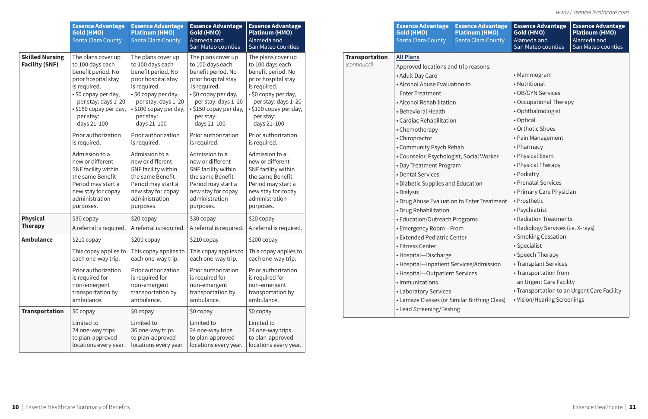|                                                 | <b>Essence Advantage</b><br><b>Gold (HMO)</b><br>Santa Clara County                                                                                                                                                                                                                                                                                                                            | <b>Essence Advantage</b><br><b>Platinum (HMO)</b><br><b>Santa Clara County</b>                                                                                                                                                                                                                                                                                                               | <b>Essence Advantage</b><br>Gold (HMO)<br>Alameda and<br>San Mateo counties                                                                                                                                                                                                                                                                                                                 | <b>Essence Advantage</b><br><b>Platinum (HMO)</b><br>Alameda and<br>San Mateo counties                                                                                                                                                                                                                                                                                                         |                                      | <b>Essence Advantage</b><br><b>Gold (HMO)</b><br><b>Santa Clara County</b>                                                                                                                                                                                                                                                                                                                                                           | <b>Essence Advantage</b><br><b>Platinum (HMO)</b><br>Santa Clara County | <b>Essence Advantage</b><br>Gold (HMO)<br>Alameda and<br>San Mateo counties                                                                                                                                                                                                                    | <b>Essence Advantage</b><br><b>Platinum (HMO)</b><br>Alameda and<br>San Mateo counties |
|-------------------------------------------------|------------------------------------------------------------------------------------------------------------------------------------------------------------------------------------------------------------------------------------------------------------------------------------------------------------------------------------------------------------------------------------------------|----------------------------------------------------------------------------------------------------------------------------------------------------------------------------------------------------------------------------------------------------------------------------------------------------------------------------------------------------------------------------------------------|---------------------------------------------------------------------------------------------------------------------------------------------------------------------------------------------------------------------------------------------------------------------------------------------------------------------------------------------------------------------------------------------|------------------------------------------------------------------------------------------------------------------------------------------------------------------------------------------------------------------------------------------------------------------------------------------------------------------------------------------------------------------------------------------------|--------------------------------------|--------------------------------------------------------------------------------------------------------------------------------------------------------------------------------------------------------------------------------------------------------------------------------------------------------------------------------------------------------------------------------------------------------------------------------------|-------------------------------------------------------------------------|------------------------------------------------------------------------------------------------------------------------------------------------------------------------------------------------------------------------------------------------------------------------------------------------|----------------------------------------------------------------------------------------|
| <b>Skilled Nursing</b><br><b>Facility (SNF)</b> | The plans cover up<br>to 100 days each<br>benefit period. No<br>prior hospital stay<br>is required.<br>• \$0 copay per day,<br>per stay: days 1-20<br>• \$150 copay per day,<br>per stay:<br>days 21-100<br>Prior authorization<br>is required.<br>Admission to a<br>new or different<br>SNF facility within<br>the same Benefit<br>Period may start a<br>new stay for copay<br>administration | The plans cover up<br>to 100 days each<br>benefit period. No<br>prior hospital stay<br>is required.<br>• \$0 copay per day,<br>per stay: days 1-20<br>\$100 copay per day,<br>per stay:<br>days 21-100<br>Prior authorization<br>is required.<br>Admission to a<br>new or different<br>SNF facility within<br>the same Benefit<br>Period may start a<br>new stay for copay<br>administration | The plans cover up<br>to 100 days each<br>benefit period. No<br>prior hospital stay<br>is required.<br>• \$0 copay per day,<br>per stay: days 1-20<br>S150 copay per day,<br>per stay:<br>days 21-100<br>Prior authorization<br>is required.<br>Admission to a<br>new or different<br>SNF facility within<br>the same Benefit<br>Period may start a<br>new stay for copay<br>administration | The plans cover up<br>to 100 days each<br>benefit period. No<br>prior hospital stay<br>is required.<br>• \$0 copay per day,<br>per stay: days 1-20<br>• \$100 copay per day,<br>per stay:<br>days 21-100<br>Prior authorization<br>is required.<br>Admission to a<br>new or different<br>SNF facility within<br>the same Benefit<br>Period may start a<br>new stay for copay<br>administration | <b>Transportation</b><br>(continued) | <b>All Plans</b><br>Approved locations and trip reasons:<br>• Adult Day Care<br>• Alcohol Abuse Evaluation to<br><b>Enter Treatment</b><br>• Alcohol Rehabilitation<br>• Behavioral Health<br>• Cardiac Rehabilitation<br>• Chemotherapy<br>• Chiropractor<br>• Community Psych Rehab<br>• Counselor, Psychologist, Social Worker<br>• Day Treatment Program<br>• Dental Services<br>• Diabetic Supplies and Education<br>• Dialysis |                                                                         | • Mammogram<br>• Nutritional<br>• OB/GYN Services<br>• Occupational Therapy<br>• Ophthalmologist<br>• Optical<br>• Orthotic Shoes<br>• Pain Management<br>• Pharmacy<br>• Physical Exam<br>• Physical Therapy<br>• Podiatry<br>• Prenatal Services<br>• Primary Care Physician<br>• Prosthetic |                                                                                        |
| <b>Physical</b><br><b>Therapy</b>               | purposes.<br>\$30 copay<br>A referral is required.                                                                                                                                                                                                                                                                                                                                             | purposes.<br>\$20 copay<br>A referral is required                                                                                                                                                                                                                                                                                                                                            | purposes.<br>\$30 copay<br>A referral is required.                                                                                                                                                                                                                                                                                                                                          | purposes.<br>\$20 copay<br>A referral is required.                                                                                                                                                                                                                                                                                                                                             |                                      | • Drug Rehabilitation<br>• Education/Outreach Programs                                                                                                                                                                                                                                                                                                                                                                               | • Drug Abuse Evaluation to Enter Treatment                              | • Psychiatrist<br>• Radiation Treatments<br>• Radiology Services (i.e. X-rays)                                                                                                                                                                                                                 |                                                                                        |
| <b>Ambulance</b>                                | \$210 copay<br>each one-way trip.<br>Prior authorization<br>is required for<br>non-emergent<br>transportation by<br>ambulance.                                                                                                                                                                                                                                                                 | \$200 copay<br>each one-way trip.<br>Prior authorization<br>is required for<br>non-emergent<br>transportation by<br>ambulance.                                                                                                                                                                                                                                                               | \$210 copay<br>This copay applies to $\mid$ This copay applies to $\mid$ This copay applies to $\mid$ This copay applies to<br>each one-way trip.<br>Prior authorization<br>is required for<br>non-emergent<br>transportation by<br>ambulance.                                                                                                                                              | \$200 copay<br>each one-way trip.<br>Prior authorization<br>is required for<br>non-emergent<br>transportation by<br>ambulance.                                                                                                                                                                                                                                                                 |                                      | • Emergency Room-From<br>• Extended Pediatric Center<br>• Fitness Center<br>• Hospital-Discharge<br>• Hospital-Inpatient Services/Admission<br>• Hospital-Outpatient Services<br>• Immunizations<br>• Laboratory Services<br>• Lamaze Classes (or Similar Birthing Class)                                                                                                                                                            |                                                                         | • Smoking Cessation<br>• Specialist<br>• Speech Therapy<br>• Transplant Services<br>• Transportation from<br>an Urgent Care Facility<br>• Transportation to an Urgent Care Facility<br>• Vision/Hearing Screenings                                                                             |                                                                                        |
| <b>Transportation</b>                           | \$0 copay<br>Limited to<br>24 one-way trips<br>to plan-approved<br>locations every year.                                                                                                                                                                                                                                                                                                       | $$0$ copay<br>Limited to<br>36 one-way trips<br>to plan-approved<br>locations every year.                                                                                                                                                                                                                                                                                                    | \$0 copay<br>Limited to<br>24 one-way trips<br>to plan-approved<br>locations every year.                                                                                                                                                                                                                                                                                                    | \$0 copay<br>Limited to<br>24 one-way trips<br>to plan-approved<br>locations every year.                                                                                                                                                                                                                                                                                                       |                                      | • Lead Screening/Testing                                                                                                                                                                                                                                                                                                                                                                                                             |                                                                         |                                                                                                                                                                                                                                                                                                |                                                                                        |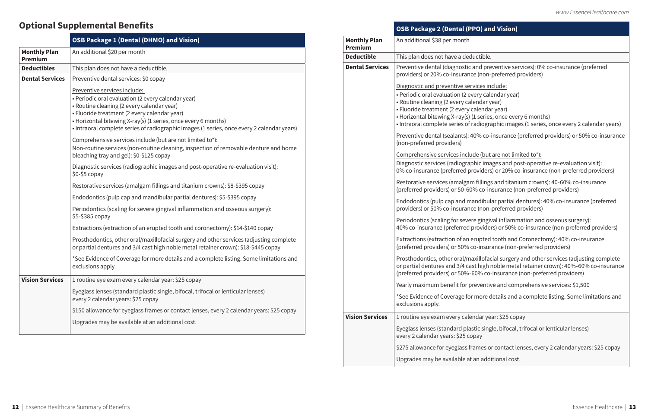## **O)** and Vision)

- **nd preventive services): 0% co-insurance (preferred** (non-preferred providers)
- ces include:
- ry calendar year)
- ndar year)
- lendar year)
- series, once every 6 months)
- diographic images (1 series, once every 2 calendar years)
- % co-insurance (preferred providers) or 50% co-insurance

### e (but are not limited to\*):

- iic images and post-operative re-evaluation visit): viders) or 20% co-insurance (non-preferred providers)
- fillings and titanium crowns): 40-60% co-insurance (co-insurance (non-preferred providers)
- ndibular partial dentures): 40% co-insurance (preferred (non-preferred providers)
- gingival inflammation and osseous surgery): foviders) or 50% co-insurance (non-preferred providers)
- upted tooth and Coronectomy): 40% co-insurance -insurance (non-preferred providers)
- illofacial surgery and other services (adjusting complete high noble metal retainer crown): 40%-60% co-insurance (9% co-insurance (non-preferred providers)
- yentive and comprehensive services: \$1,500
- nore details and a complete listing. Some limitations and

### dar year: \$25 copay

- ic single, bifocal, trifocal or lenticular lenses)
- mes or contact lenses, every 2 calendar years: \$25 copay
- n additional cost.

|                                       | <b>OSB Package 1 (Dental (DHMO) and Vision)</b>                                                                                                                                                                                                                                                                                                  |
|---------------------------------------|--------------------------------------------------------------------------------------------------------------------------------------------------------------------------------------------------------------------------------------------------------------------------------------------------------------------------------------------------|
| <b>Monthly Plan</b><br><b>Premium</b> | An additional \$20 per month                                                                                                                                                                                                                                                                                                                     |
| <b>Deductibles</b>                    | This plan does not have a deductible.                                                                                                                                                                                                                                                                                                            |
| <b>Dental Services</b>                | Preventive dental services: \$0 copay                                                                                                                                                                                                                                                                                                            |
|                                       | Preventive services include:<br>• Periodic oral evaluation (2 every calendar year)<br>• Routine cleaning (2 every calendar year)<br>· Fluoride treatment (2 every calendar year)<br>• Horizontal bitewing X-ray(s) (1 series, once every 6 months)<br>• Intraoral complete series of radiographic images (1 series, once every 2 calendar years) |
|                                       | Comprehensive services include (but are not limited to*):<br>Non-routine services (non-routine cleaning, inspection of removable denture and home<br>bleaching tray and gel): \$0-\$125 copay                                                                                                                                                    |
|                                       | Diagnostic services (radiographic images and post-operative re-evaluation visit):<br>\$0-\$5 copay                                                                                                                                                                                                                                               |
|                                       | Restorative services (amalgam fillings and titanium crowns): \$8-\$395 copay                                                                                                                                                                                                                                                                     |
|                                       | Endodontics (pulp cap and mandibular partial dentures): \$5-\$395 copay                                                                                                                                                                                                                                                                          |
|                                       | Periodontics (scaling for severe gingival inflammation and osseous surgery):<br>\$5-\$385 copay                                                                                                                                                                                                                                                  |
|                                       | Extractions (extraction of an erupted tooth and coronectomy): \$14-\$140 copay                                                                                                                                                                                                                                                                   |
|                                       | Prosthodontics, other oral/maxillofacial surgery and other services (adjusting complete<br>or partial dentures and 3/4 cast high noble metal retainer crown): \$18-\$445 copay                                                                                                                                                                   |
|                                       | *See Evidence of Coverage for more details and a complete listing. Some limitations and<br>exclusions apply.                                                                                                                                                                                                                                     |
| <b>Vision Services</b>                | 1 routine eye exam every calendar year: \$25 copay                                                                                                                                                                                                                                                                                               |
|                                       | Eyeglass lenses (standard plastic single, bifocal, trifocal or lenticular lenses)<br>every 2 calendar years: \$25 copay                                                                                                                                                                                                                          |
|                                       | \$150 allowance for eyeglass frames or contact lenses, every 2 calendar years: \$25 copay                                                                                                                                                                                                                                                        |
|                                       | Upgrades may be available at an additional cost.                                                                                                                                                                                                                                                                                                 |

|                                       | OSB Package 2 (Dental (PPO) an                                                                                                                                                                                                                              |
|---------------------------------------|-------------------------------------------------------------------------------------------------------------------------------------------------------------------------------------------------------------------------------------------------------------|
| <b>Monthly Plan</b><br><b>Premium</b> | An additional \$38 per month                                                                                                                                                                                                                                |
| <b>Deductible</b>                     | This plan does not have a deductible.                                                                                                                                                                                                                       |
| <b>Dental Services</b>                | Preventive dental (diagnostic and pre<br>providers) or 20% co-insurance (non-                                                                                                                                                                               |
|                                       | Diagnostic and preventive services in<br>· Periodic oral evaluation (2 every cale<br>• Routine cleaning (2 every calendar y<br>· Fluoride treatment (2 every calenda<br>• Horizontal bitewing X-ray(s) (1 series<br>· Intraoral complete series of radiogra |
|                                       | Preventive dental (sealants): 40% co-<br>(non-preferred providers)                                                                                                                                                                                          |
|                                       | Comprehensive services include (but<br>Diagnostic services (radiographic ima<br>0% co-insurance (preferred providers                                                                                                                                        |
|                                       | Restorative services (amalgam fillings<br>(preferred providers) or 50-60% co-in                                                                                                                                                                             |
|                                       | Endodontics (pulp cap and mandibul<br>providers) or 50% co-insurance (non-                                                                                                                                                                                  |
|                                       | Periodontics (scaling for severe gingive<br>40% co-insurance (preferred provider                                                                                                                                                                            |
|                                       | Extractions (extraction of an erupted<br>(preferred providers) or 50% co-insur                                                                                                                                                                              |
|                                       | Prosthodontics, other oral/maxillofad<br>or partial dentures and 3/4 cast high r<br>(preferred providers) or 50%-60% co-                                                                                                                                    |
|                                       | Yearly maximum benefit for preventive                                                                                                                                                                                                                       |
|                                       | *See Evidence of Coverage for more d<br>exclusions apply.                                                                                                                                                                                                   |
| <b>Vision Services</b>                | 1 routine eye exam every calendar ye                                                                                                                                                                                                                        |
|                                       | Eyeglass lenses (standard plastic sing<br>every 2 calendar years: \$25 copay                                                                                                                                                                                |
|                                       | \$275 allowance for eyeglass frames o                                                                                                                                                                                                                       |
|                                       | Upgrades may be available at an addi                                                                                                                                                                                                                        |

## **Optional Supplemental Benefits**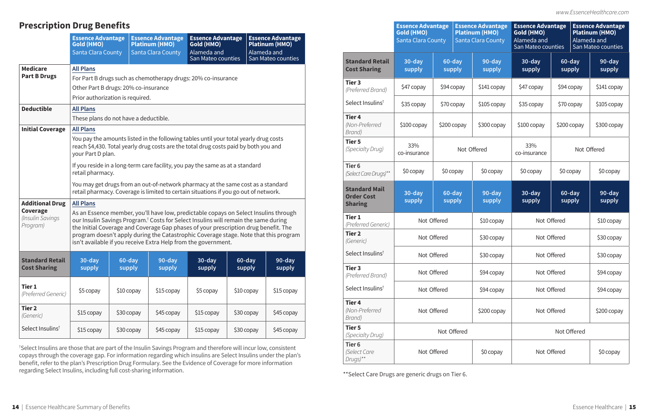*www.EssenceHealthcare.com*

† Select Insulins are those that are part of the Insulin Savings Program and therefore will incur low, consistent copays through the coverage gap. For information regarding which insulins are Select Insulins under the plan's benefit, refer to the plan's Prescription Drug Formulary. See the Evidence of Coverage for more information regarding Select Insulins, including full cost-sharing information.

|                                                             | <b>Essence Advantage</b><br><b>Gold (HMO)</b><br><b>Santa Clara County</b> |             |                  | <b>Essence Advantage</b><br><b>Platinum (HMO)</b><br><b>Santa Clara County</b> | <b>Essence Advantage</b><br>Gold (HMO)<br>Alameda and<br>San Mateo counties |             |                  | <b>Essence Advantage</b><br><b>Platinum (HMO)</b><br>Alameda and<br>San Mateo counties |
|-------------------------------------------------------------|----------------------------------------------------------------------------|-------------|------------------|--------------------------------------------------------------------------------|-----------------------------------------------------------------------------|-------------|------------------|----------------------------------------------------------------------------------------|
| <b>Standard Retail</b><br><b>Cost Sharing</b>               | 30-day<br>supply                                                           |             | 60-day<br>supply | 90-day<br>supply                                                               | 30-day<br>supply                                                            |             | 60-day<br>supply | 90-day<br>supply                                                                       |
| Tier <sub>3</sub><br>(Preferred Brand)                      | \$47 copay                                                                 |             | \$94 copay       | \$141 copay                                                                    | \$47 copay                                                                  | \$94 copay  |                  | \$141 copay                                                                            |
| Select Insulins <sup>t</sup>                                | \$35 copay                                                                 |             | \$70 copay       | \$105 copay                                                                    | \$35 copay                                                                  |             | \$70 copay       | $$105$ copay                                                                           |
| Tier <sub>4</sub><br>(Non-Preferred<br>Brand)               | \$100 copay                                                                |             | \$200 copay      | \$300 copay                                                                    | \$100 copay                                                                 |             | \$200 copay      | \$300 copay                                                                            |
| <b>Tier 5</b><br>(Specialty Drug)                           | 33%<br>co-insurance                                                        |             |                  | Not Offered                                                                    | 33%<br>co-insurance                                                         |             |                  | Not Offered                                                                            |
| Tier <sub>6</sub><br>(Select Care Drugs)**                  | \$0 copay                                                                  |             | \$0 copay        | \$0 copay                                                                      | \$0 copay                                                                   |             | \$0 copay        | \$0 copay                                                                              |
| <b>Standard Mail</b><br><b>Order Cost</b><br><b>Sharing</b> | 30-day<br>supply                                                           |             | 60-day<br>supply | 90-day<br>supply                                                               | 30-day<br>supply                                                            |             | 60-day<br>supply | 90-day<br>supply                                                                       |
| <b>Tier 1</b><br>(Preferred Generic)                        |                                                                            | Not Offered |                  | \$10 copay                                                                     | Not Offered                                                                 |             | \$10 copay       |                                                                                        |
| <b>Tier 2</b><br>(Generic)                                  |                                                                            | Not Offered |                  | \$30 copay                                                                     |                                                                             | Not Offered |                  | \$30 copay                                                                             |
| Select Insulins <sup>†</sup>                                |                                                                            | Not Offered |                  | \$30 copay                                                                     |                                                                             | Not Offered |                  | \$30 copay                                                                             |
| Tier <sub>3</sub><br>(Preferred Brand)                      |                                                                            | Not Offered |                  | \$94 copay                                                                     |                                                                             | Not Offered |                  | \$94 copay                                                                             |
| Select Insulins <sup>t</sup>                                |                                                                            | Not Offered |                  | \$94 copay                                                                     |                                                                             | Not Offered |                  | \$94 copay                                                                             |
| <b>Tier 4</b><br>(Non-Preferred<br>Brand)                   |                                                                            | Not Offered |                  | \$200 copay                                                                    |                                                                             | Not Offered |                  | \$200 copay                                                                            |
| <b>Tier 5</b><br>(Specialty Drug)                           |                                                                            |             | Not Offered      |                                                                                |                                                                             |             | Not Offered      |                                                                                        |
| Tier <sub>6</sub><br>(Select Care<br>Drugs)**               |                                                                            | Not Offered |                  | \$0 copay                                                                      |                                                                             | Not Offered |                  | \$0 copay                                                                              |

\*\*Select Care Drugs are generic drugs on Tier 6.

## **Prescription Drug Benefits**

|                                                                    | <b>Essence Advantage</b><br><b>Gold (HMO)</b><br>Santa Clara County |                                                                                                                                                                                                                                                                                                                                                                                                                                                                                     | <b>Essence Advantage</b><br><b>Platinum (HMO)</b><br><b>Santa Clara County</b>                                                                                                                                                                           | <b>Essence Advantage</b><br>Gold (HMO)<br>Alameda and<br>San Mateo counties |                  | <b>Essence Advantage</b><br><b>Platinum (HMO)</b><br>Alameda and<br>San Mateo counties                                                                                       |  |  |  |  |
|--------------------------------------------------------------------|---------------------------------------------------------------------|-------------------------------------------------------------------------------------------------------------------------------------------------------------------------------------------------------------------------------------------------------------------------------------------------------------------------------------------------------------------------------------------------------------------------------------------------------------------------------------|----------------------------------------------------------------------------------------------------------------------------------------------------------------------------------------------------------------------------------------------------------|-----------------------------------------------------------------------------|------------------|------------------------------------------------------------------------------------------------------------------------------------------------------------------------------|--|--|--|--|
| <b>Medicare</b><br><b>Part B Drugs</b>                             | <b>All Plans</b>                                                    | For Part B drugs such as chemotherapy drugs: 20% co-insurance<br>Other Part B drugs: 20% co-insurance<br>Prior authorization is required.                                                                                                                                                                                                                                                                                                                                           |                                                                                                                                                                                                                                                          |                                                                             |                  |                                                                                                                                                                              |  |  |  |  |
| <b>Deductible</b>                                                  | <b>All Plans</b>                                                    | These plans do not have a deductible.                                                                                                                                                                                                                                                                                                                                                                                                                                               |                                                                                                                                                                                                                                                          |                                                                             |                  |                                                                                                                                                                              |  |  |  |  |
| <b>Initial Coverage</b>                                            | <b>All Plans</b>                                                    | You pay the amounts listed in the following tables until your total yearly drug costs<br>reach \$4,430. Total yearly drug costs are the total drug costs paid by both you and<br>your Part D plan.<br>If you reside in a long-term care facility, you pay the same as at a standard<br>retail pharmacy.<br>You may get drugs from an out-of-network pharmacy at the same cost as a standard<br>retail pharmacy. Coverage is limited to certain situations if you go out of network. |                                                                                                                                                                                                                                                          |                                                                             |                  |                                                                                                                                                                              |  |  |  |  |
| <b>Additional Drug</b><br>Coverage<br>(Insulin Savings<br>Program) | <b>All Plans</b>                                                    |                                                                                                                                                                                                                                                                                                                                                                                                                                                                                     | our Insulin Savings Program. <sup>†</sup> Costs for Select Insulins will remain the same during<br>the Initial Coverage and Coverage Gap phases of your prescription drug benefit. The<br>isn't available if you receive Extra Help from the government. |                                                                             |                  | As an Essence member, you'll have low, predictable copays on Select Insulins through<br>program doesn't apply during the Catastrophic Coverage stage. Note that this program |  |  |  |  |
| <b>Standard Retail</b><br><b>Cost Sharing</b>                      | $30$ -day<br>supply                                                 | 60-day<br>supply                                                                                                                                                                                                                                                                                                                                                                                                                                                                    | 90-day<br>supply                                                                                                                                                                                                                                         | $30-day$<br>supply                                                          | 60-day<br>supply | 90-day<br>supply                                                                                                                                                             |  |  |  |  |
| Tier 1<br>(Preferred Generic)                                      | \$5 copay                                                           | \$10 copay                                                                                                                                                                                                                                                                                                                                                                                                                                                                          | \$15 copay                                                                                                                                                                                                                                               | \$5 copay                                                                   | \$10 copay       | \$15 copay                                                                                                                                                                   |  |  |  |  |
| <b>Tier 2</b><br>(Generic)                                         | \$15 copay                                                          | \$30 copay                                                                                                                                                                                                                                                                                                                                                                                                                                                                          | \$45 copay                                                                                                                                                                                                                                               | \$15 copay                                                                  | \$30 copay       | \$45 copay                                                                                                                                                                   |  |  |  |  |
| Select Insulins <sup>t</sup>                                       | \$15 copay                                                          | \$30 copay                                                                                                                                                                                                                                                                                                                                                                                                                                                                          | \$45 copay                                                                                                                                                                                                                                               | \$15 copay                                                                  | \$30 copay       | \$45 copay                                                                                                                                                                   |  |  |  |  |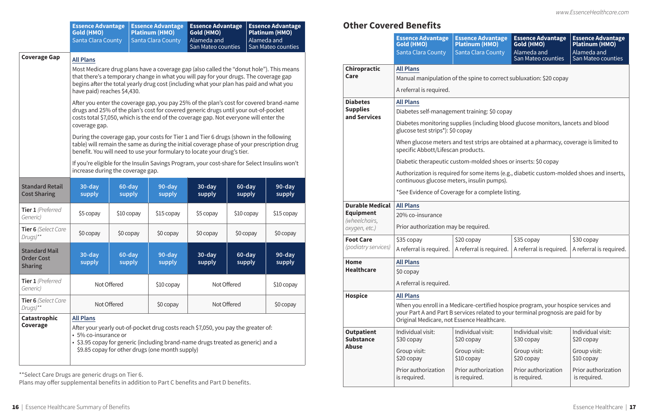| ЭV | \$35 copay                                                                                       | $\frac{1}{2}$ \$30 copay |
|----|--------------------------------------------------------------------------------------------------|--------------------------|
|    | $\mathsf{Id}$ is required. $\mathsf{A}$ referral is required. $\mathsf{A}$ referral is required. |                          |

|                                                             | <b>Essence Advantage</b><br><b>Gold (HMO)</b><br><b>Santa Clara County</b>                                                         |                                                                                                                                                                                                                                                                                                                                                                                                                                                                                                                                                                                                                                                                                                                                                                                                                                                             | <b>Essence Advantage</b><br><b>Platinum (HMO)</b><br><b>Santa Clara County</b> | <b>Essence Advantage</b><br>Gold (HMO)<br>Alameda and<br>San Mateo counties                                                                                           |                  | <b>Essence Advantage</b><br><b>Platinum (HMO)</b><br>Alameda and<br>San Mateo counties |  |  |  |  |
|-------------------------------------------------------------|------------------------------------------------------------------------------------------------------------------------------------|-------------------------------------------------------------------------------------------------------------------------------------------------------------------------------------------------------------------------------------------------------------------------------------------------------------------------------------------------------------------------------------------------------------------------------------------------------------------------------------------------------------------------------------------------------------------------------------------------------------------------------------------------------------------------------------------------------------------------------------------------------------------------------------------------------------------------------------------------------------|--------------------------------------------------------------------------------|-----------------------------------------------------------------------------------------------------------------------------------------------------------------------|------------------|----------------------------------------------------------------------------------------|--|--|--|--|
| <b>Coverage Gap</b>                                         | <b>All Plans</b><br>coverage gap.                                                                                                  | Most Medicare drug plans have a coverage gap (also called the "donut hole"). This means<br>that there's a temporary change in what you will pay for your drugs. The coverage gap<br>begins after the total yearly drug cost (including what your plan has paid and what you<br>have paid) reaches \$4,430.<br>After you enter the coverage gap, you pay 25% of the plan's cost for covered brand-name<br>drugs and 25% of the plan's cost for covered generic drugs until your out-of-pocket<br>costs total \$7,050, which is the end of the coverage gap. Not everyone will enter the<br>During the coverage gap, your costs for Tier 1 and Tier 6 drugs (shown in the following<br>table) will remain the same as during the initial coverage phase of your prescription drug<br>benefit. You will need to use your formulary to locate your drug's tier. |                                                                                |                                                                                                                                                                       |                  |                                                                                        |  |  |  |  |
|                                                             | If you're eligible for the Insulin Savings Program, your cost-share for Select Insulins won't<br>increase during the coverage gap. |                                                                                                                                                                                                                                                                                                                                                                                                                                                                                                                                                                                                                                                                                                                                                                                                                                                             |                                                                                |                                                                                                                                                                       |                  |                                                                                        |  |  |  |  |
| <b>Standard Retail</b><br><b>Cost Sharing</b>               | 30-day<br>supply                                                                                                                   | 60-day<br>supply                                                                                                                                                                                                                                                                                                                                                                                                                                                                                                                                                                                                                                                                                                                                                                                                                                            | 90-day<br>supply                                                               | 30-day<br>supply                                                                                                                                                      | 60-day<br>supply | 90-day<br>supply                                                                       |  |  |  |  |
| Tier 1 (Preferred<br>Generic)                               | \$5 copay                                                                                                                          | \$10 copay                                                                                                                                                                                                                                                                                                                                                                                                                                                                                                                                                                                                                                                                                                                                                                                                                                                  | \$15 copay                                                                     | \$5 copay                                                                                                                                                             | \$10 copay       | \$15 copay                                                                             |  |  |  |  |
| Tier 6 (Select Care<br>$Drugs)$ **                          | \$0 copay                                                                                                                          | \$0 copay                                                                                                                                                                                                                                                                                                                                                                                                                                                                                                                                                                                                                                                                                                                                                                                                                                                   | $$0$ copay                                                                     | $$0$ copay                                                                                                                                                            | \$0 copay        | \$0 copay                                                                              |  |  |  |  |
| <b>Standard Mail</b><br><b>Order Cost</b><br><b>Sharing</b> | $30 - day$<br>supply                                                                                                               | 60-day<br>supply                                                                                                                                                                                                                                                                                                                                                                                                                                                                                                                                                                                                                                                                                                                                                                                                                                            | 90-day<br>supply                                                               | 30-day<br>supply                                                                                                                                                      | 60-day<br>supply | 90-day<br>supply                                                                       |  |  |  |  |
| Tier 1 (Preferred<br>Generic)                               | Not Offered                                                                                                                        |                                                                                                                                                                                                                                                                                                                                                                                                                                                                                                                                                                                                                                                                                                                                                                                                                                                             | \$10 copay                                                                     | Not Offered                                                                                                                                                           |                  | \$10 copay                                                                             |  |  |  |  |
| Tier 6 (Select Care<br>Drugs)**                             | Not Offered                                                                                                                        |                                                                                                                                                                                                                                                                                                                                                                                                                                                                                                                                                                                                                                                                                                                                                                                                                                                             | \$0 copay                                                                      | Not Offered                                                                                                                                                           |                  | \$0 copay                                                                              |  |  |  |  |
| <b>Catastrophic</b><br>Coverage                             | <b>All Plans</b><br>• 5% co-insurance or                                                                                           |                                                                                                                                                                                                                                                                                                                                                                                                                                                                                                                                                                                                                                                                                                                                                                                                                                                             | \$9.85 copay for other drugs (one month supply)                                | After your yearly out-of-pocket drug costs reach \$7,050, you pay the greater of:<br>• \$3.95 copay for generic (including brand-name drugs treated as generic) and a |                  |                                                                                        |  |  |  |  |

\*\*Select Care Drugs are generic drugs on Tier 6.

Plans may offer supplemental benefits in addition to Part C benefits and Part D benefits.

|                                                    | <b>Essence Advantage</b><br><b>Gold (HMO)</b><br><b>Santa Clara County</b>                                                   | <b>Essence Advantage</b><br><b>Platinum (HMO)</b><br>Santa Clara County | <b>Essence Advantage</b><br>Gold (HMO)<br>Alameda and<br>San Mateo counties                                                                                              | <b>Essence Advantage</b><br><b>Platinum (HMO)</b><br>Alameda and<br>San Mateo counties |  |  |  |  |
|----------------------------------------------------|------------------------------------------------------------------------------------------------------------------------------|-------------------------------------------------------------------------|--------------------------------------------------------------------------------------------------------------------------------------------------------------------------|----------------------------------------------------------------------------------------|--|--|--|--|
| Chiropractic<br>Care                               | <b>All Plans</b><br>A referral is required.                                                                                  | Manual manipulation of the spine to correct subluxation: \$20 copay     |                                                                                                                                                                          |                                                                                        |  |  |  |  |
| <b>Diabetes</b><br><b>Supplies</b><br>and Services | <b>All Plans</b><br>Diabetes self-management training: \$0 copay                                                             |                                                                         |                                                                                                                                                                          |                                                                                        |  |  |  |  |
|                                                    | Diabetes monitoring supplies (including blood glucose monitors, lancets and blood<br>glucose test strips*): \$0 copay        |                                                                         |                                                                                                                                                                          |                                                                                        |  |  |  |  |
|                                                    | When glucose meters and test strips are obtained at a pharmacy, coverage is limited to<br>specific Abbott/Lifescan products. |                                                                         |                                                                                                                                                                          |                                                                                        |  |  |  |  |
|                                                    |                                                                                                                              | Diabetic therapeutic custom-molded shoes or inserts: \$0 copay          |                                                                                                                                                                          |                                                                                        |  |  |  |  |
|                                                    | continuous glucose meters, insulin pumps).                                                                                   |                                                                         | Authorization is required for some items (e.g., diabetic custom-molded shoes and inserts,                                                                                |                                                                                        |  |  |  |  |
|                                                    |                                                                                                                              | *See Evidence of Coverage for a complete listing.                       |                                                                                                                                                                          |                                                                                        |  |  |  |  |
| <b>Durable Medical</b>                             | <b>All Plans</b>                                                                                                             |                                                                         |                                                                                                                                                                          |                                                                                        |  |  |  |  |
| <b>Equipment</b><br>(wheelchairs,                  | 20% co-insurance                                                                                                             |                                                                         |                                                                                                                                                                          |                                                                                        |  |  |  |  |
| oxygen, etc.)                                      | Prior authorization may be required.                                                                                         |                                                                         |                                                                                                                                                                          |                                                                                        |  |  |  |  |
| <b>Foot Care</b><br>(podiatry services)            | \$35 copay<br>A referral is required.                                                                                        | \$20 copay<br>A referral is required.                                   | \$35 copay<br>A referral is required.                                                                                                                                    | \$30 copay<br>A referral is required.                                                  |  |  |  |  |
| Home                                               | <b>All Plans</b>                                                                                                             |                                                                         |                                                                                                                                                                          |                                                                                        |  |  |  |  |
| <b>Healthcare</b>                                  | \$0 copay                                                                                                                    |                                                                         |                                                                                                                                                                          |                                                                                        |  |  |  |  |
|                                                    | A referral is required.                                                                                                      |                                                                         |                                                                                                                                                                          |                                                                                        |  |  |  |  |
| <b>Hospice</b>                                     | <b>All Plans</b>                                                                                                             |                                                                         |                                                                                                                                                                          |                                                                                        |  |  |  |  |
|                                                    | Original Medicare, not Essence Healthcare.                                                                                   |                                                                         | When you enroll in a Medicare-certified hospice program, your hospice services and<br>your Part A and Part B services related to your terminal prognosis are paid for by |                                                                                        |  |  |  |  |
| <b>Outpatient</b><br><b>Substance</b>              | Individual visit:<br>\$30 copay                                                                                              | Individual visit:<br>\$20 copay                                         | Individual visit:<br>\$30 copay                                                                                                                                          | Individual visit:<br>\$20 copay                                                        |  |  |  |  |
| <b>Abuse</b>                                       | Group visit:<br>\$20 copay                                                                                                   | Group visit:<br>\$10 copay                                              | Group visit:<br>\$20 copay                                                                                                                                               | Group visit:<br>\$10 copay                                                             |  |  |  |  |
|                                                    | Prior authorization<br>is required.                                                                                          | Prior authorization<br>is required.                                     | Prior authorization<br>is required.                                                                                                                                      | Prior authorization<br>is required.                                                    |  |  |  |  |

## **Other Covered Benefits**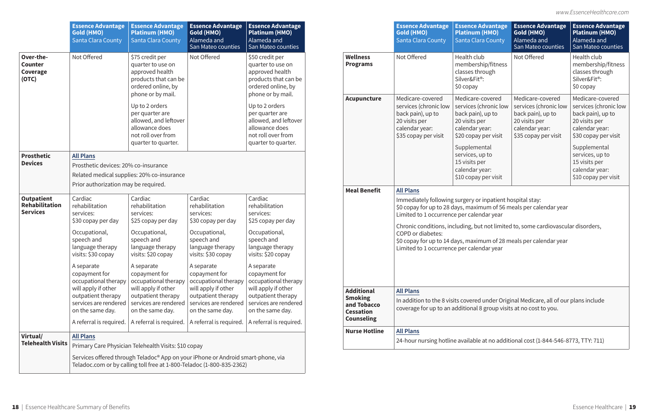|                                                               | <b>Essence Advantage</b><br><b>Gold (HMO)</b><br><b>Santa Clara County</b>                       | <b>Essence Advantage</b><br><b>Platinum (HMO)</b><br>Santa Clara County                                                    | <b>Essence Advantage</b><br>Gold (HMO)<br>Alameda and<br>San Mateo counties                                                                                           | <b>Essence Advantage</b><br><b>Platinum (HMO)</b><br>Alameda and<br>San Mateo counties                                                         |  |                                                                                                                                                                                                                                                                                | <b>Essence Advantage</b><br><b>Gold (HMO)</b><br><b>Santa Clara County</b>                                                                                                                                                       | <b>Essence Advantage</b><br><b>Platinum (HMO)</b><br><b>Santa Clara County</b>                                                            | <b>Essence Advantage</b><br>Gold (HMO)<br>Alameda and<br>San Mateo counties                                               | <b>Essence Advantage</b><br><b>Platinum (HMO)</b><br>Alameda and<br>San Mateo counties                                                    |
|---------------------------------------------------------------|--------------------------------------------------------------------------------------------------|----------------------------------------------------------------------------------------------------------------------------|-----------------------------------------------------------------------------------------------------------------------------------------------------------------------|------------------------------------------------------------------------------------------------------------------------------------------------|--|--------------------------------------------------------------------------------------------------------------------------------------------------------------------------------------------------------------------------------------------------------------------------------|----------------------------------------------------------------------------------------------------------------------------------------------------------------------------------------------------------------------------------|-------------------------------------------------------------------------------------------------------------------------------------------|---------------------------------------------------------------------------------------------------------------------------|-------------------------------------------------------------------------------------------------------------------------------------------|
| Over-the-<br><b>Counter</b><br>Coverage<br>(OTC)              | Not Offered                                                                                      | \$75 credit per<br>quarter to use on<br>approved health<br>products that can be<br>ordered online, by<br>phone or by mail. | Not Offered                                                                                                                                                           | \$50 credit per<br>quarter to use on<br>approved health<br>products that can be<br>ordered online, by                                          |  | <b>Wellness</b><br><b>Programs</b>                                                                                                                                                                                                                                             | Not Offered                                                                                                                                                                                                                      | Health club<br>membership/fitness<br>classes through<br>Silver&Fit®:<br>\$0 copay                                                         | Not Offered                                                                                                               | Health club<br>membership/fitness<br>classes through<br>Silver&Fit®:<br>$$0$ copay                                                        |
|                                                               |                                                                                                  | Up to 2 orders<br>per quarter are<br>allowed, and leftover<br>allowance does<br>not roll over from<br>quarter to quarter.  |                                                                                                                                                                       | phone or by mail.<br>Up to 2 orders<br>per quarter are<br>allowed, and leftover<br>allowance does<br>not roll over from<br>quarter to quarter. |  | Acupuncture                                                                                                                                                                                                                                                                    | Medicare-covered<br>services (chronic low<br>back pain), up to<br>20 visits per<br>calendar year:<br>\$35 copay per visit                                                                                                        | Medicare-covered<br>services (chronic low<br>back pain), up to<br>20 visits per<br>calendar year:<br>\$20 copay per visit<br>Supplemental | Medicare-covered<br>services (chronic low<br>back pain), up to<br>20 visits per<br>calendar year:<br>\$35 copay per visit | Medicare-covered<br>services (chronic low<br>back pain), up to<br>20 visits per<br>calendar year:<br>\$30 copay per visit<br>Supplemental |
| <b>Prosthetic</b><br><b>Devices</b>                           | <b>All Plans</b><br>Prosthetic devices: 20% co-insurance<br>Prior authorization may be required. | Related medical supplies: 20% co-insurance                                                                                 |                                                                                                                                                                       |                                                                                                                                                |  |                                                                                                                                                                                                                                                                                |                                                                                                                                                                                                                                  | services, up to<br>15 visits per<br>calendar year:<br>\$10 copay per visit                                                                |                                                                                                                           | services, up to<br>15 visits per<br>calendar year:<br>\$10 copay per visit                                                                |
| <b>Outpatient</b><br><b>Rehabilitation</b><br><b>Services</b> | Cardiac<br>rehabilitation<br>services:<br>\$30 copay per day                                     | Cardiac<br>rehabilitation<br>services:<br>\$25 copay per day                                                               | Cardiac<br>rehabilitation<br>services:<br>\$30 copay per day                                                                                                          | Cardiac<br>rehabilitation<br>services:<br>\$25 copay per day                                                                                   |  | <b>Meal Benefit</b><br><b>All Plans</b><br>Immediately following surgery or inpatient hospital stay:<br>\$0 copay for up to 28 days, maximum of 56 meals per calendar year<br>Limited to 1 occurrence per calendar year                                                        |                                                                                                                                                                                                                                  |                                                                                                                                           |                                                                                                                           |                                                                                                                                           |
|                                                               | Occupational,<br>speech and<br>language therapy<br>visits: \$30 copay                            | Occupational,<br>speech and<br>language therapy<br>visits: \$20 copay                                                      | Occupational,<br>speech and<br>language therapy<br>visits: \$30 copay                                                                                                 | Occupational,<br>speech and<br>language therapy<br>visits: \$20 copay                                                                          |  |                                                                                                                                                                                                                                                                                | Chronic conditions, including, but not limited to, some cardiovascular disorders,<br><b>COPD</b> or diabetes:<br>\$0 copay for up to 14 days, maximum of 28 meals per calendar year<br>Limited to 1 occurrence per calendar year |                                                                                                                                           |                                                                                                                           |                                                                                                                                           |
|                                                               | A separate<br>copayment for<br>occupational therapy                                              | A separate<br>copayment for<br>occupational therapy<br>will apply if other                                                 | A separate<br>copayment for<br>occupational therapy                                                                                                                   | A separate<br>copayment for<br>occupational therapy                                                                                            |  |                                                                                                                                                                                                                                                                                |                                                                                                                                                                                                                                  |                                                                                                                                           |                                                                                                                           |                                                                                                                                           |
|                                                               | will apply if other<br>outpatient therapy<br>services are rendered<br>on the same day.           | outpatient therapy<br>services are rendered<br>on the same day.<br>A referral is required. $\vert$ A referral is required. | will apply if other<br>outpatient therapy<br>services are rendered<br>on the same day.<br>A referral is required.   A referral is required.                           | will apply if other<br>outpatient therapy<br>services are rendered<br>on the same day.                                                         |  | <b>Additional</b><br><b>All Plans</b><br><b>Smoking</b><br>In addition to the 8 visits covered under Original Medicare, all of our plans include<br>and Tobacco<br>coverage for up to an additional 8 group visits at no cost to you.<br><b>Cessation</b><br><b>Counseling</b> |                                                                                                                                                                                                                                  |                                                                                                                                           |                                                                                                                           |                                                                                                                                           |
| Virtual/<br><b>Telehealth Visits</b>                          | <b>All Plans</b>                                                                                 | Primary Care Physician Telehealth Visits: \$10 copay                                                                       |                                                                                                                                                                       |                                                                                                                                                |  | <b>Nurse Hotline</b>                                                                                                                                                                                                                                                           | <b>All Plans</b>                                                                                                                                                                                                                 |                                                                                                                                           | 24-hour nursing hotline available at no additional cost (1-844-546-8773, TTY: 711)                                        |                                                                                                                                           |
|                                                               |                                                                                                  |                                                                                                                            | Services offered through Teladoc <sup>®</sup> App on your iPhone or Android smart-phone, via<br>Teladoc.com or by calling toll free at 1-800-Teladoc (1-800-835-2362) |                                                                                                                                                |  |                                                                                                                                                                                                                                                                                |                                                                                                                                                                                                                                  |                                                                                                                                           |                                                                                                                           |                                                                                                                                           |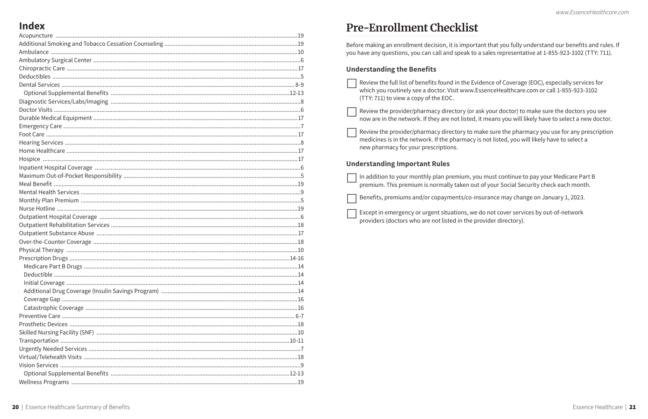## **Index**

## **Pre-Enrollment Checklist**

Before making an enrollment decision, it is important that you fully understand our benefits and rules. If you have any questions, you can call and speak to a sales representative at 1-855-923-3102 (TTY: 711).

## **Understanding the Benefits**

| $\overline{\phantom{a}}$ Review the full list of benefits found in the Ev |
|---------------------------------------------------------------------------|
| which you routinely see a doctor. Visit www.                              |
| (TTY: 711) to view a copy of the EOC.                                     |

Review the provider/pharmacy directory (or ask your doctor) to make sure the doctors you see now are in the network. If they are not listed, it means you will likely have to select a new doctor.

Review the provider/pharmacy directory to make sure the pharmacy you use for any prescription medicines is in the network. If the pharmacy is not listed, you will likely have to select a new pharmacy for your prescriptions.

## **Understanding Important Rules**

 $\Box$  In addition to your monthly plan premium, you must continue to pay your Medicare Part B premium. This premium is normally taken out of your Social Security check each month.

Benefits, premiums and/or copayments/co-insurance may change on January 1, 2023.

Except in emergency or urgent situations, we do not cover services by out-of-network providers (doctors who are not listed in the provider directory).

vidence of Coverage (EOC), especially services for EssenceHealthcare.com or call 1-855-923-3102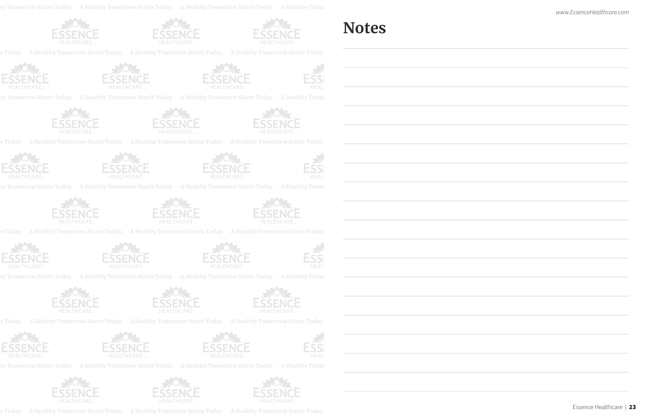**A Healthy Tomorrow Starts Today. A Healthy Tomorrow Starts Today. A Healthy Tomorrow Starts Today. A Healthy Tomorrow Starts Today. A Healthy Tomorrow Starts Today.**







 **A Healthy Tomorrow Starts Today. A Healthy Tomorrow Starts Today. A Healthy Tomorrow Starts Today. A Healthy Tomorrow Starts Today.**









 **A Healthy Tomorrow Starts Today. A Healthy Tomorrow Starts Today. A Healthy Tomorrow Starts Today. A Healthy Tomorrow Starts Today.**









ny Tomorrow Starts Today. A Healthy Tomorrow Starts Today. A Healthy Tomorrow Starts Today. A Healthy Tomo







 **A Healthy Tomorrow Starts Today. A Healthy Tomorrow Starts Today. A Healthy Tomorrow Starts Today. A Healthy Tomorrow Starts Today.**





ny Tomorrow Starts Today. A Healthy Tomorrow Starts Today. A Healthy Tomorrow Starts Today. A Healthy Tomo







 **A Healthy Tomorrow Starts Today. A Healthy Tomorrow Starts Today. A Healthy Tomorrow Starts Today. A Healthy Tomorrow Starts Today.**

 **A Healthy Tomorrow Starts Today. A Healthy Tomorrow Starts Today. A Healthy Tomorrow Starts Today. A Healthy Tomorrow Starts Today.**









ny Tomorrow Starts Today. A Healthy Tomorrow Starts Today. A Healthy Tomorrow Starts Today. A Healthy Tomorrow S







ny Tomorrow Starts Today. A Healthy Tomorrow Starts Today. A Healthy Tomorrow Starts Today. A Healthy Tomorrow S







## **Notes**